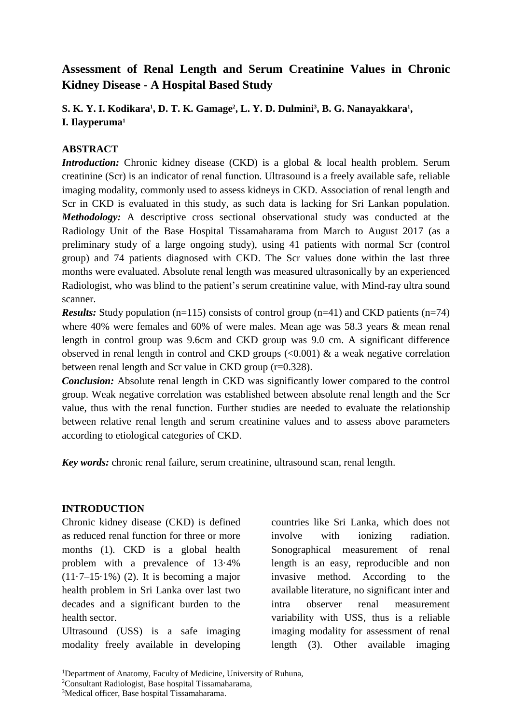# **Assessment of Renal Length and Serum Creatinine Values in Chronic Kidney Disease - A Hospital Based Study**

**S. K. Y. I. Kodikara<sup>1</sup> , D. T. K. Gamage<sup>2</sup> , L. Y. D. Dulmini<sup>3</sup> , B. G. Nanayakkara<sup>1</sup> , I. Ilayperuma<sup>1</sup>**

### **ABSTRACT**

*Introduction:* Chronic kidney disease (CKD) is a global & local health problem. Serum creatinine (Scr) is an indicator of renal function. Ultrasound is a freely available safe, reliable imaging modality, commonly used to assess kidneys in CKD. Association of renal length and Scr in CKD is evaluated in this study, as such data is lacking for Sri Lankan population. *Methodology:* A descriptive cross sectional observational study was conducted at the Radiology Unit of the Base Hospital Tissamaharama from March to August 2017 (as a preliminary study of a large ongoing study), using 41 patients with normal Scr (control group) and 74 patients diagnosed with CKD. The Scr values done within the last three months were evaluated. Absolute renal length was measured ultrasonically by an experienced Radiologist, who was blind to the patient's serum creatinine value, with Mind-ray ultra sound scanner.

*Results:* Study population (n=115) consists of control group (n=41) and CKD patients (n=74) where 40% were females and 60% of were males. Mean age was 58.3 years & mean renal length in control group was 9.6cm and CKD group was 9.0 cm. A significant difference observed in renal length in control and CKD groups  $\langle 0.001 \rangle$  & a weak negative correlation between renal length and Scr value in CKD group (r=0.328).

*Conclusion:* Absolute renal length in CKD was significantly lower compared to the control group. Weak negative correlation was established between absolute renal length and the Scr value, thus with the renal function. Further studies are needed to evaluate the relationship between relative renal length and serum creatinine values and to assess above parameters according to etiological categories of CKD.

*Key words:* chronic renal failure, serum creatinine, ultrasound scan, renal length.

#### **INTRODUCTION**

Chronic kidney disease (CKD) is defined as reduced renal function for three or more months (1). CKD is a global health problem with a prevalence of 13·4%  $(11.7-15.1\%)$  (2). It is becoming a major health problem in Sri Lanka over last two decades and a significant burden to the health sector.

Ultrasound (USS) is a safe imaging modality freely available in developing countries like Sri Lanka, which does not involve with ionizing radiation. Sonographical measurement of renal length is an easy, reproducible and non invasive method. According to the available literature, no significant inter and intra observer renal measurement variability with USS, thus is a reliable imaging modality for assessment of renal length (3). Other available imaging

<sup>&</sup>lt;sup>1</sup>Department of Anatomy, Faculty of Medicine, University of Ruhuna,

<sup>2</sup>Consultant Radiologist, Base hospital Tissamaharama,

<sup>&</sup>lt;sup>3</sup>Medical officer, Base hospital Tissamaharama.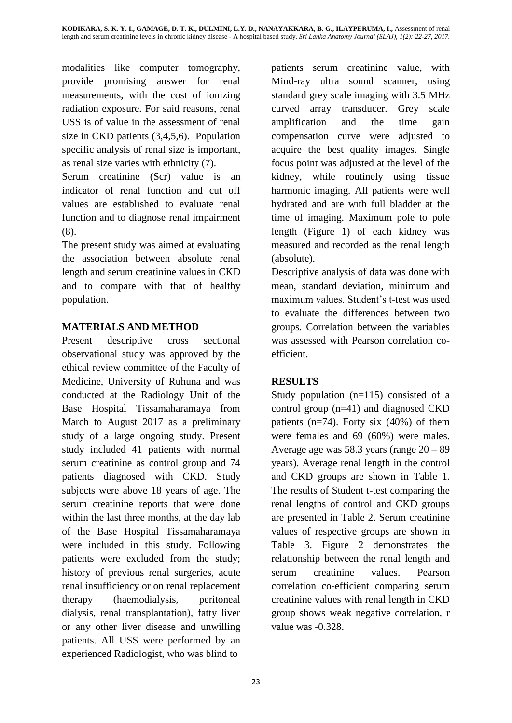modalities like computer tomography, provide promising answer for renal measurements, with the cost of ionizing radiation exposure. For said reasons, renal USS is of value in the assessment of renal size in CKD patients (3,4,5,6). Population specific analysis of renal size is important, as renal size varies with ethnicity (7).

Serum creatinine (Scr) value is an indicator of renal function and cut off values are established to evaluate renal function and to diagnose renal impairment (8).

The present study was aimed at evaluating the association between absolute renal length and serum creatinine values in CKD and to compare with that of healthy population.

# **MATERIALS AND METHOD**

Present descriptive cross sectional observational study was approved by the ethical review committee of the Faculty of Medicine, University of Ruhuna and was conducted at the Radiology Unit of the Base Hospital Tissamaharamaya from March to August 2017 as a preliminary study of a large ongoing study. Present study included 41 patients with normal serum creatinine as control group and 74 patients diagnosed with CKD. Study subjects were above 18 years of age. The serum creatinine reports that were done within the last three months, at the day lab of the Base Hospital Tissamaharamaya were included in this study. Following patients were excluded from the study; history of previous renal surgeries, acute renal insufficiency or on renal replacement therapy (haemodialysis, peritoneal dialysis, renal transplantation), fatty liver or any other liver disease and unwilling patients. All USS were performed by an experienced Radiologist, who was blind to

patients serum creatinine value, with Mind-ray ultra sound scanner, using standard grey scale imaging with 3.5 MHz curved array transducer. Grey scale amplification and the time gain compensation curve were adjusted to acquire the best quality images. Single focus point was adjusted at the level of the kidney, while routinely using tissue harmonic imaging. All patients were well hydrated and are with full bladder at the time of imaging. Maximum pole to pole length (Figure 1) of each kidney was measured and recorded as the renal length (absolute).

Descriptive analysis of data was done with mean, standard deviation, minimum and maximum values. Student's t-test was used to evaluate the differences between two groups. Correlation between the variables was assessed with Pearson correlation coefficient.

# **RESULTS**

Study population (n=115) consisted of a control group (n=41) and diagnosed CKD patients ( $n=74$ ). Forty six (40%) of them were females and 69 (60%) were males. Average age was  $58.3$  years (range  $20 - 89$ ) years). Average renal length in the control and CKD groups are shown in Table 1. The results of Student t-test comparing the renal lengths of control and CKD groups are presented in Table 2. Serum creatinine values of respective groups are shown in Table 3. Figure 2 demonstrates the relationship between the renal length and serum creatinine values. Pearson correlation co-efficient comparing serum creatinine values with renal length in CKD group shows weak negative correlation, r value was -0.328.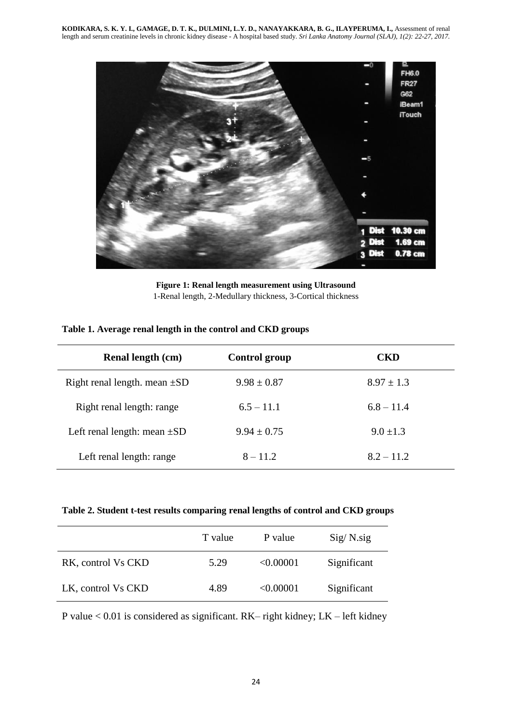

**Figure 1: Renal length measurement using Ultrasound** 1-Renal length, 2-Medullary thickness, 3-Cortical thickness

|  | Table 1. Average renal length in the control and CKD groups |  |  |  |  |
|--|-------------------------------------------------------------|--|--|--|--|
|--|-------------------------------------------------------------|--|--|--|--|

| Renal length (cm)                 | <b>Control group</b> | CKD            |
|-----------------------------------|----------------------|----------------|
| Right renal length. mean $\pm SD$ | $9.98 \pm 0.87$      | $8.97 \pm 1.3$ |
| Right renal length: range         | $6.5 - 11.1$         | $6.8 - 11.4$   |
| Left renal length: mean $\pm SD$  | $9.94 \pm 0.75$      | $9.0 \pm 1.3$  |
| Left renal length: range          | $8 - 11.2$           | $8.2 - 11.2$   |

**Table 2. Student t-test results comparing renal lengths of control and CKD groups**

|                    | T value | P value   | $Sig/N$ .sig |
|--------------------|---------|-----------|--------------|
| RK, control Vs CKD | 5.29    | < 0.00001 | Significant  |
| LK, control Vs CKD | 4.89    | < 0.00001 | Significant  |

P value < 0.01 is considered as significant. RK– right kidney; LK – left kidney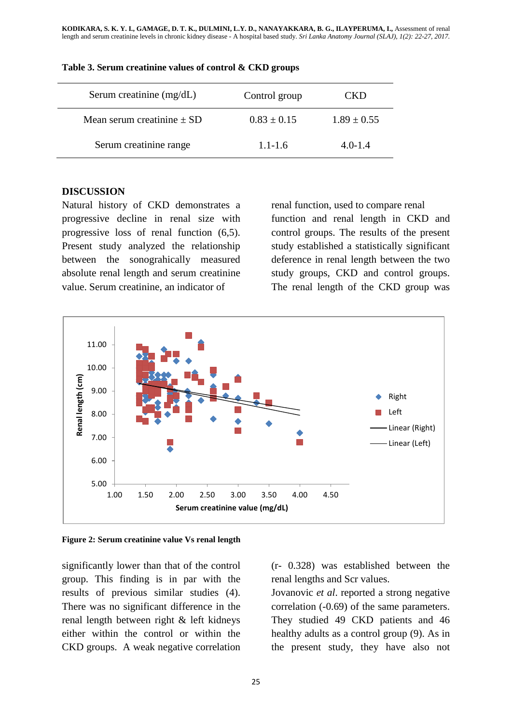| Serum creatinine (mg/dL)       | Control group   | CKD             |
|--------------------------------|-----------------|-----------------|
| Mean serum creatinine $\pm$ SD | $0.83 \pm 0.15$ | $1.89 \pm 0.55$ |
| Serum creatinine range         | $1.1 - 1.6$     | $4.0 - 1.4$     |

#### **Table 3. Serum creatinine values of control & CKD groups**

### **DISCUSSION**

Natural history of CKD demonstrates a progressive decline in renal size with progressive loss of renal function (6,5). Present study analyzed the relationship between the sonograhically measured absolute renal length and serum creatinine value. Serum creatinine, an indicator of

renal function, used to compare renal function and renal length in CKD and control groups. The results of the present study established a statistically significant deference in renal length between the two study groups, CKD and control groups. The renal length of the CKD group was



#### **Figure 2: Serum creatinine value Vs renal length**

significantly lower than that of the control group. This finding is in par with the results of previous similar studies (4). There was no significant difference in the renal length between right & left kidneys either within the control or within the CKD groups. A weak negative correlation (r- 0.328) was established between the renal lengths and Scr values.

Jovanovic *et al*. reported a strong negative correlation (-0.69) of the same parameters. They studied 49 CKD patients and 46 healthy adults as a control group (9). As in the present study, they have also not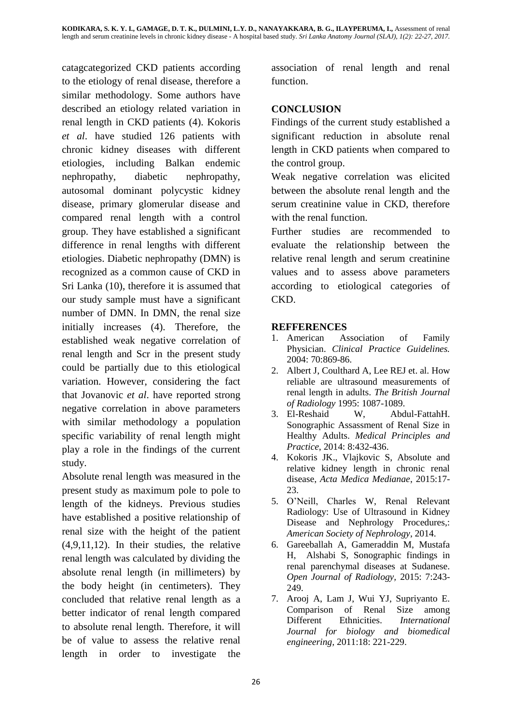catagcategorized CKD patients according to the etiology of renal disease, therefore a similar methodology. Some authors have described an etiology related variation in renal length in CKD patients (4). Kokoris *et al*. have studied 126 patients with chronic kidney diseases with different etiologies, including Balkan endemic nephropathy, diabetic nephropathy, autosomal dominant polycystic kidney disease, primary glomerular disease and compared renal length with a control group. They have established a significant difference in renal lengths with different etiologies. Diabetic nephropathy (DMN) is recognized as a common cause of CKD in Sri Lanka (10), therefore it is assumed that our study sample must have a significant number of DMN. In DMN, the renal size initially increases (4). Therefore, the established weak negative correlation of renal length and Scr in the present study could be partially due to this etiological variation. However, considering the fact that Jovanovic *et al*. have reported strong negative correlation in above parameters with similar methodology a population specific variability of renal length might play a role in the findings of the current study.

Absolute renal length was measured in the present study as maximum pole to pole to length of the kidneys. Previous studies have established a positive relationship of renal size with the height of the patient (4,9,11,12). In their studies, the relative renal length was calculated by dividing the absolute renal length (in millimeters) by the body height (in centimeters). They concluded that relative renal length as a better indicator of renal length compared to absolute renal length. Therefore, it will be of value to assess the relative renal length in order to investigate the

association of renal length and renal function.

## **CONCLUSION**

Findings of the current study established a significant reduction in absolute renal length in CKD patients when compared to the control group.

Weak negative correlation was elicited between the absolute renal length and the serum creatinine value in CKD, therefore with the renal function.

Further studies are recommended to evaluate the relationship between the relative renal length and serum creatinine values and to assess above parameters according to etiological categories of CKD.

### **REFFERENCES**

- 1. American Association of Family Physician. *Clinical Practice Guidelines.*  2004: 70:869-86.
- 2. Albert J, Coulthard A, Lee REJ et. al. How reliable are ultrasound measurements of renal length in adults. *The British Journal of Radiology* 1995: 1087-1089.
- 3. El-Reshaid W, Abdul-FattahH. Sonographic Assassment of Renal Size in Healthy Adults. *Medical Principles and Practice*, 2014: 8:432-436.
- 4. Kokoris JK., Vlajkovic S, Absolute and relative kidney length in chronic renal disease, *Acta Medica Medianae*, 2015:17- 23.
- 5. O'Neill, Charles W, Renal Relevant Radiology: Use of Ultrasound in Kidney Disease and Nephrology Procedures,: *American Society of Nephrology*, 2014.
- 6. Gareeballah A, Gameraddin M, Mustafa H, Alshabi S, Sonographic findings in renal parenchymal diseases at Sudanese. *Open Journal of Radiology,* 2015: 7:243- 249.
- 7. Arooj A, Lam J, Wui YJ, Supriyanto E. Comparison of Renal Size among Different Ethnicities. *International Journal for biology and biomedical engineering,* 2011:18: 221-229.